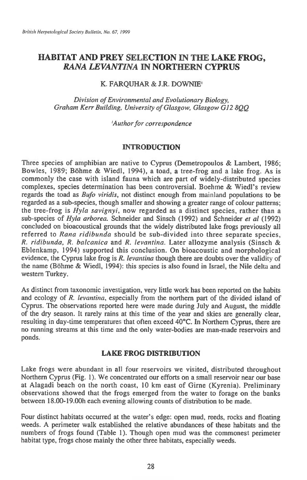# **HABITAT AND PREY SELECTION IN THE LAKE FROG,**  *RANA LEVANTINA* **IN NORTHERN CYPRUS**

# K. FARQUHAR & J.R. DOWNIE'

*Division of Environmental and Evolutionary Biology, Graham Kerr Building, University of Glasgow, Glasgow G12 8QQ* 

*'Author for correspondence* 

# INTRODUCTION

Three species of amphibian are native to Cyprus (Demetropoulos & Lambert, 1986; Bowles, 1989; Böhme & Wiedl, 1994), a toad, a tree-frog and a lake frog. As is commonly the case with island fauna which are part of widely-distributed species complexes, species determination has been controversial. Boehme & Wiedl's review regards the toad as *Bufo viridis,* not distinct enough from mainland populations to be regarded as a sub-species, though smaller and showing a greater range of colour patterns; the tree-frog is *Hyla savignyi,* now regarded as a distinct species, rather than a sub-species of *Hyla arborea.* Schneider and Sinsch (1992) and Schneider *et al* (1992) concluded on bioacoustical grounds that the widely distributed lake frogs previously all referred to *Rana ridibunda* should be sub-divided into three separate species, *R. ridibunda, R. balcanica* and *R. levantina.* Later allozyme analysis (Sinsch & Eblenkamp, 1994) supported this conclusion. On bioacoustic and morphological evidence, the Cyprus lake frog is *R. levantina* though there are doubts over the validity of the name (Bohme & Wiedl, 1994): this species is also found in Israel, the Nile delta and western Turkey.

As distinct from taxonomic investigation, very little work has been reported on the habits and ecology of *R. levantina,* especially from the northern part of the divided island of Cyprus. The observations reported here were made during July and August, the middle of the dry season. It rarely rains at this time of the year and skies are generally clear, resulting in day-time temperatures that often exceed 40°C. In Northern Cyprus, there are no running streams at this time and the only water-bodies are man-made reservoirs and ponds.

# LAKE FROG DISTRIBUTION

Lake frogs were abundant in all four reservoirs we visited, distributed throughout Northern Cyprus (Fig. 1). We concentrated our efforts on a small reservoir near our base at Alagadi beach on the north coast, 10 km east of Girne (Kyrenia). Preliminary observations showed that the frogs emerged from the water to forage on the banks between 18.00-19.00h each evening allowing counts of distribution to be made.

Four distinct habitats occurred at the water's edge: open mud, reeds, rocks and floating weeds. A perimeter walk established the relative abundances of these habitats and the numbers of frogs found (Table 1). Though open mud was the commonest perimeter habitat type, frogs chose mainly the other three habitats, especially weeds.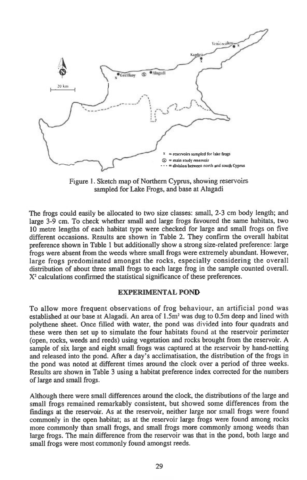

Figure 1. Sketch map of Northern Cyprus, showing reservoirs sampled for Lake Frogs, and base at Alagadi

The frogs could easily be allocated to two size classes: small, 2-3 cm body length; and large 3-9 cm. To check whether small and large frogs favoured the same habitats, two 10 metre lengths of each habitat type were checked for large and small frogs on five different occasions. Results are shown in Table 2. They confirm the overall habitat preference shown in Table 1 but additionally show a strong size-related preference: large frogs were absent from the weeds where small frogs were extremely abundant. However, large frogs predominated amongst the rocks, especially considering the overall distribution of about three small frogs to each large frog in the sample counted overall. X<sup>2</sup> calculations confirmed the statistical significance of these preferences.

#### **EXPERIMENTAL POND**

To allow more frequent observations of frog behaviour, an artificial pond was established at our base at Alagadi. An area of  $1.5m<sup>2</sup>$  was dug to 0.5m deep and lined with polythene sheet. Once filled with water, the pond was divided into four quadrats and these were then set up to simulate the four habitats found at the reservoir perimeter (open, rocks, weeds and reeds) using vegetation and rocks brought from the reservoir. A sample of six large and eight small frogs was captured at the reservoir by hand-netting and released into the pond. After a day's acclimatisation, the distribution of the frogs in the pond was noted at different times around the clock over a period of three weeks. Results are shown in Table 3 using a habitat preference index corrected for the numbers of large and small frogs.

Although there were small differences around the clock, the distributions of the large and small frogs remained remarkably consistent, but showed some differences from the findings at the reservoir. As at the reservoir, neither large nor small frogs were found commonly in the open habitat; as at the reservoir large frogs were found among rocks more commonly than small frogs, and small frogs more commonly among weeds than large frogs. The main difference from the reservoir was that in the pond, both large and small frogs were most commonly found amongst reeds.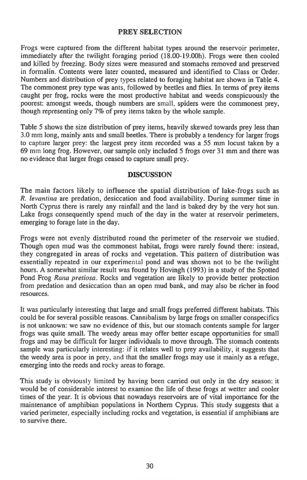### **PREY SELECTION**

Frogs were captured from the different habitat types around the reservoir perimeter, immediately after the twilight foraging period (18.00-19.00h). Frogs were then cooled and killed by freezing. Body sizes were measured and stomachs removed and preserved in formalin. Contents were later counted, measured and identified to Class or Order. Numbers and distribution of prey types related to foraging habitat are shown in Table 4. The commonest prey type was ants, followed by beetles and flies. In terms of prey items caught per frog, rocks were the most productive habitat and weeds conspicuously the poorest: amongst weeds, though numbers are small, spiders were the commonest prey, though representing only 7% of prey items taken by the whole sample.

Table 5 shows the size distribution of prey items, heavily skewed towards prey less than 3.0 mm long, mainly ants and small beetles. There is probably a tendency for larger frogs to capture larger prey: the largest prey item recorded was a 55 mm locust taken by a 69 mm long frog. However, our sample only included 5 frogs over 31 mm and there was no evidence that larger frogs ceased to capture small prey.

#### **DISCUSSION**

The main factors likely to influence the spatial distribution of lake-frogs such as *R. levantina* are predation, desiccation and food availability. During summer time in North Cyprus there is rarely any rainfall and the land is baked dry by the very hot sun. Lake frogs consequently spend much of the day in the water at reservoir perimeters, emerging to forage late in the day.

Frogs were not evenly distributed round the perimeter of the reservoir we studied. Though open mud was the commonest habitat, frogs were rarely found there: instead, they congregated in areas of rocks and vegetation. This pattern of distribution was essentially repeated in our experimental pond and was shown not to be the twilight hours. A somewhat similar result was found by Hovingh (1993) in a study of the Spotted Pond Frog *Rana pretiosa.* Rocks and vegetation are likely to provide better protection from predation and desiccation than an open mud bank, and may also be richer in food resources.

It was particularly interesting that large and small frogs preferred different habitats. This could be for several possible reasons. Cannibalism by large frogs on smaller conspecifics is not unknown: we saw no evidence of this, but our stomach contents sample for larger frogs was quite small. The weedy areas may offer better escape opportunities for small frogs and may be difficult for larger individuals to move through. The stomach contents sample was particularly interesting: if it relates well to prey availability, it suggests that the weedy area is poor in prey, and that the smaller frogs may use it mainly as a refuge, emerging into the reeds and rocky areas to forage.

This study is obviously limited by having been carried out only in the dry season: it would be of considerable interest to examine the life of these frogs at wetter and cooler times of the year. It is obvious that nowadays reservoirs are of vital importance for the maintenance of amphibian populations in Northern Cyprus. This study suggests that a varied perimeter, especially including rocks and vegetation, is essential if amphibians are to survive there.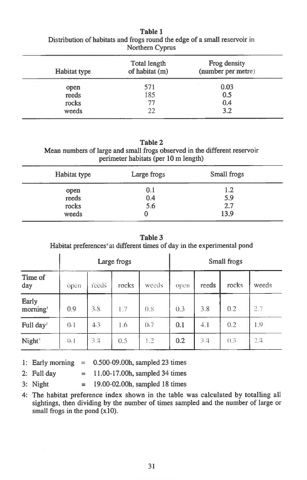| Northern Cyprus |                                |                                    |  |  |
|-----------------|--------------------------------|------------------------------------|--|--|
| Habitat type    | Total length<br>of habitat (m) | Frog density<br>(number per metre) |  |  |
| open            | 571                            | 0.03                               |  |  |
| reeds           | 185                            | 0.5                                |  |  |
| rocks           | 77                             | 0.4                                |  |  |
| weeds           | つつ                             | 3.2                                |  |  |

**Table 1 Distribution of habitats and frogs round the edge of a small reservoir in** 

### **Table 2**

**Mean numbers of large and small frogs observed in the different reservoir perimeter habitats (per 10 m length)** 

| Habitat type                    | Large frogs       | Small frogs               |  |
|---------------------------------|-------------------|---------------------------|--|
| open<br>reeds<br>rocks<br>weeds | 0.1<br>0.4<br>5.6 | 1.2<br>5.9<br>2.7<br>13.9 |  |

**Table 3** 

Habitat preferences<sup>4</sup> at different times of day in the experimental pond

|                               | Large frogs       |       |       |       |      | Small frogs |        |       |
|-------------------------------|-------------------|-------|-------|-------|------|-------------|--------|-------|
| Time of<br>day                | open              | reeds | rocks | weeds | open | reeds       | rocks  | weeds |
| Early<br>morning <sup>1</sup> | 0.9               | 3.8   | 1.7   | 0.8   | 0.3  | 3.8         | 0.2    | 2.7   |
| Full day <sup>2</sup>         | $0-1$             | 4.3   | 1.6   | (1.7) | 0.1  | 4.1         | 0.2    | 1.9   |
| Night <sup>3</sup>            | $\Omega_{\alpha}$ | 3,4   | 0.5   | 1.2   | 0.2  | 3.4         | (1, 3) | 2.4   |

- **1: Early morning = 0.500-09.00h, sampled 23 times**
- **2: Full day = 11.00-17.00h, sampled 34 times**
- **3: Night = 19.00-02.00h, sampled 18 times**

**4: The habitat preference index shown in the table was calculated by totalling all sightings, then dividing by the number of times sampled and the number of large or small frogs in the pond (x10).**